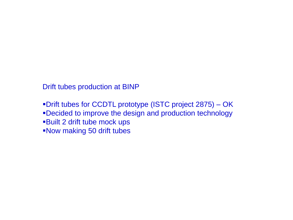Drift tubes production at BINP

Drift tubes for CCDTL prototype (ISTC project 2875) – OK Decided to improve the design and production technology Built 2 drift tube mock ups Now making 50 drift tubes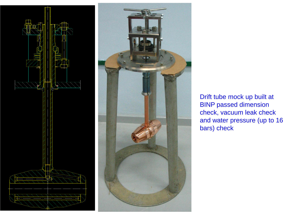



Drift tube mock up built at BINP passed dimension check, vacuum leak check and water pressure (up to 16 bars) check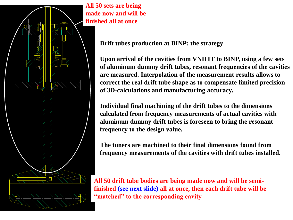

**All 50 sets are being made now and will be finished all at once**

**Drift tubes production at BINP: the strategy**

**Upon arrival of the cavities from VNIITF to BINP, using a few sets of aluminum dummy drift tubes, resonant frequencies of the cavities are measured. Interpolation of the measurement results allows to correct the real drift tube shape as to compensate limited precision of 3D-calculations and manufacturing accuracy.**

**Individual final machining of the drift tubes to the dimensions calculated from frequency measurements of actual cavities with aluminum dummy drift tubes is foreseen to bring the resonant frequency to the design value.**

**The tuners are machined to their final dimensions found from frequency measurements of the cavities with drift tubes installed.**

**All 50 drift tube bodies are being made now and will be semifinished (see next slide) all at once, then each drift tube will be "matched" to the corresponding cavity**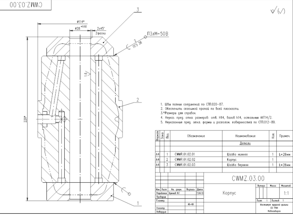CMNZ.03.00



1. Шбы пояных соединений по СТП.020-87.

2. Обеспечить сплошной пропай по всей плоскости.

3.\*Размеры для справок.

4. Неуказ. пред. откл. размеров: отв. Н14, валов h14, остальных ±1T14/2.

5. Неуказанные пред. откл. формы и располож. поверхностей по СТП.012-80.

 $\sqrt{\omega}$ 

| acwate | 3000                                        | g                  | Обозначение                 |               |                        |  | Наименование  |  |                                            |        | koa.          | Примеч.  |
|--------|---------------------------------------------|--------------------|-----------------------------|---------------|------------------------|--|---------------|--|--------------------------------------------|--------|---------------|----------|
|        |                                             |                    |                             |               |                        |  | Детали        |  |                                            |        |               |          |
|        |                                             |                    |                             |               |                        |  |               |  |                                            |        |               |          |
| A4     |                                             | 1                  |                             | CWMR.01.02.01 |                        |  | Шайба нижняя  |  |                                            |        | 1             | L=28мм   |
| A4     |                                             | $\overline{2}$     |                             | CWMR.01.02.02 |                        |  | Kopnyc        |  |                                            |        | 1             |          |
| A4     |                                             | 3<br>CWMR.01.02.03 |                             |               |                        |  | Шайба верхняя |  |                                            | 1      | L=28мм        |          |
|        |                                             |                    |                             |               |                        |  |               |  |                                            |        |               |          |
|        |                                             |                    |                             |               |                        |  | CWMZ.03.00    |  |                                            |        |               |          |
|        |                                             |                    |                             |               |                        |  |               |  |                                            | Rumepo | Mocco         | Mocumati |
|        | <b>How.</b> Ruom<br>Poppeliomas<br>Проберца |                    | No. gorque.<br>Kooveed S.C. | Regnues       | <b>Dama</b><br>7.04.10 |  | Kopnyc        |  |                                            |        |               | 1:1      |
|        | т. контр.                                   |                    |                             |               |                        |  |               |  | fluon                                      |        | <b>Bucmob</b> | 1        |
|        | H. Kovmp.                                   |                    |                             | $46 - 60$     |                        |  |               |  | <b>Weatherly agepred publics</b><br>CO PAH |        |               |          |
|        | Ymbepgun                                    |                    |                             |               |                        |  |               |  |                                            |        | Hobocubapes   |          |